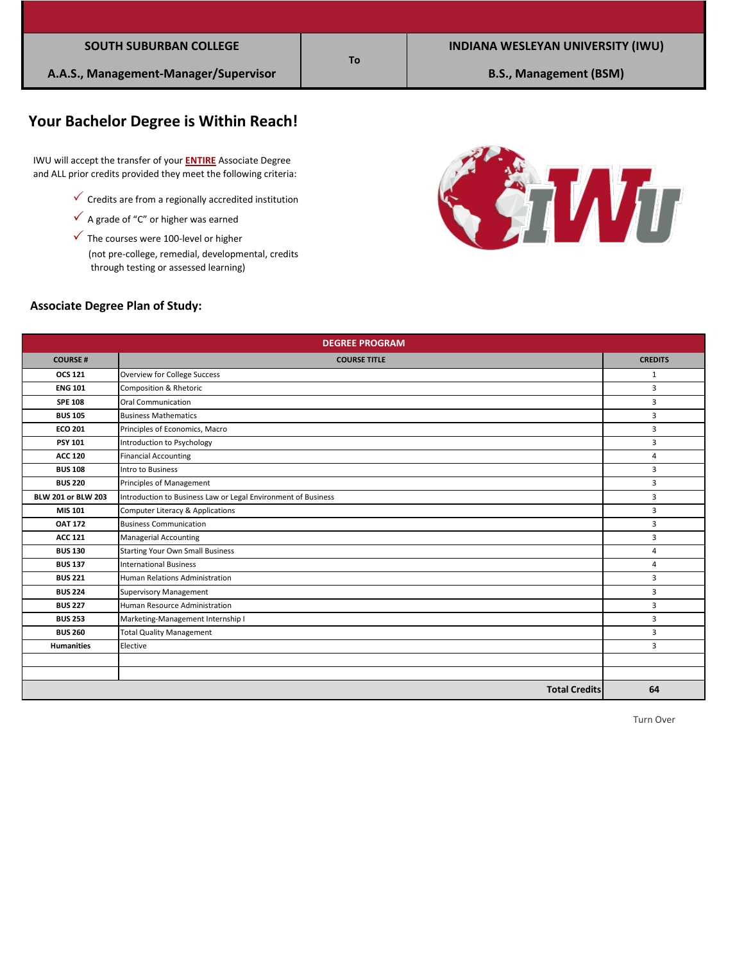|  |  | <b>SOUTH SUBURBAN COLLEGE</b> |  |
|--|--|-------------------------------|--|
|--|--|-------------------------------|--|

# **Your Bachelor Degree is Within Reach!**

 IWU will accept the transfer of your **ENTIRE** Associate Degree and ALL prior credits provided they meet the following criteria:

- $\checkmark$  Credits are from a regionally accredited institution
- $\checkmark$  A grade of "C" or higher was earned
- $\checkmark$  The courses were 100-level or higher

 (not pre-college, remedial, developmental, credits through testing or assessed learning)



#### **Associate Degree Plan of Study:**

| <b>DEGREE PROGRAM</b>     |                                                               |                |
|---------------------------|---------------------------------------------------------------|----------------|
| <b>COURSE#</b>            | <b>COURSE TITLE</b>                                           | <b>CREDITS</b> |
| <b>OCS 121</b>            | <b>Overview for College Success</b>                           | 1              |
| <b>ENG 101</b>            | <b>Composition &amp; Rhetoric</b>                             | 3              |
| <b>SPE 108</b>            | <b>Oral Communication</b>                                     | 3              |
| <b>BUS 105</b>            | <b>Business Mathematics</b>                                   | 3              |
| <b>ECO 201</b>            | Principles of Economics, Macro                                | 3              |
| <b>PSY 101</b>            | Introduction to Psychology                                    | 3              |
| <b>ACC 120</b>            | <b>Financial Accounting</b>                                   | 4              |
| <b>BUS 108</b>            | Intro to Business                                             | 3              |
| <b>BUS 220</b>            | Principles of Management                                      | 3              |
| <b>BLW 201 or BLW 203</b> | Introduction to Business Law or Legal Environment of Business | 3              |
| MIS 101                   | Computer Literacy & Applications                              | 3              |
| <b>OAT 172</b>            | <b>Business Communication</b>                                 | 3              |
| <b>ACC 121</b>            | <b>Managerial Accounting</b>                                  | 3              |
| <b>BUS 130</b>            | <b>Starting Your Own Small Business</b>                       | 4              |
| <b>BUS 137</b>            | <b>International Business</b>                                 | 4              |
| <b>BUS 221</b>            | <b>Human Relations Administration</b>                         | 3              |
| <b>BUS 224</b>            | <b>Supervisory Management</b>                                 | 3              |
| <b>BUS 227</b>            | Human Resource Administration                                 | 3              |
| <b>BUS 253</b>            | Marketing-Management Internship I                             | 3              |
| <b>BUS 260</b>            | Total Quality Management                                      | 3              |
| <b>Humanities</b>         | Elective                                                      | 3              |
|                           |                                                               |                |
|                           |                                                               |                |
|                           | <b>Total Credits</b>                                          | 64             |

### **To**